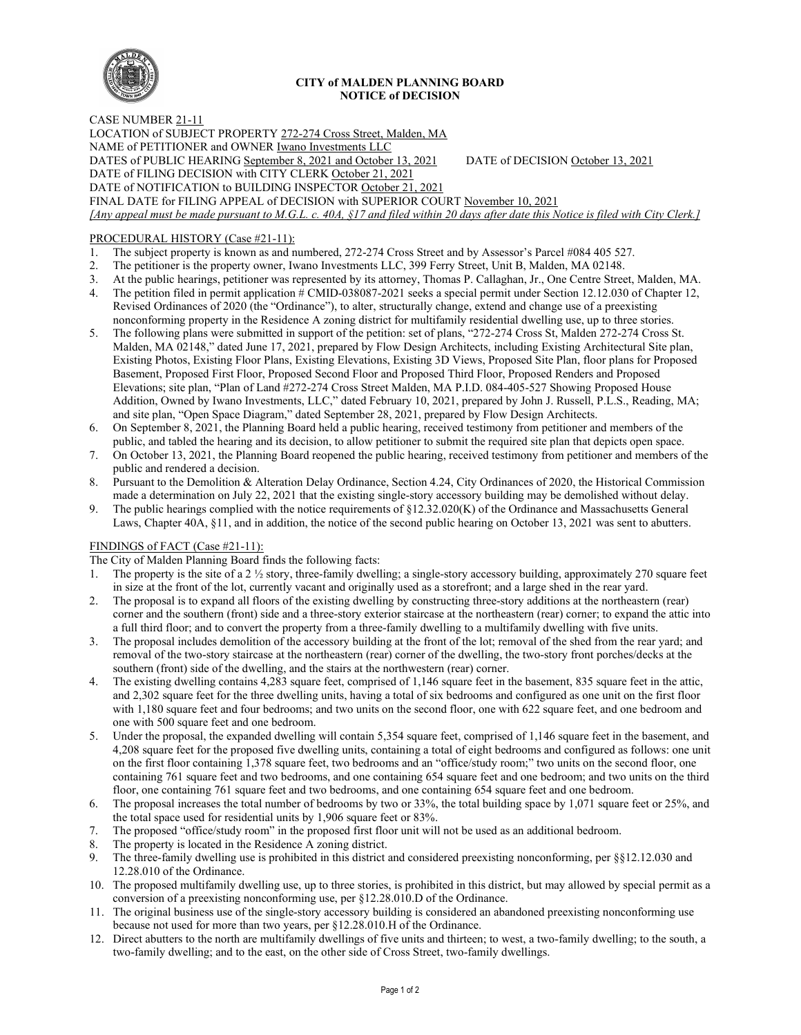

## **CITY of MALDEN PLANNING BOARD NOTICE of DECISION**

CASE NUMBER 21-11 LOCATION of SUBJECT PROPERTY 272-274 Cross Street, Malden, MA NAME of PETITIONER and OWNER Iwano Investments LLC DATES of PUBLIC HEARING September 8, 2021 and October 13, 2021 DATE of DECISION October 13, 2021 DATE of FILING DECISION with CITY CLERK October 21, 2021 DATE of NOTIFICATION to BUILDING INSPECTOR October 21, 2021 FINAL DATE for FILING APPEAL of DECISION with SUPERIOR COURT November 10, 2021 *[Any appeal must be made pursuant to M.G.L. c. 40A, §17 and filed within 20 days after date this Notice is filed with City Clerk.]* 

# PROCEDURAL HISTORY (Case #21-11):

- 1. The subject property is known as and numbered, 272-274 Cross Street and by Assessor's Parcel #084 405 527.
- 2. The petitioner is the property owner, Iwano Investments LLC, 399 Ferry Street, Unit B, Malden, MA 02148.
- 3. At the public hearings, petitioner was represented by its attorney, Thomas P. Callaghan, Jr., One Centre Street, Malden, MA.
- 4. The petition filed in permit application # CMID-038087-2021 seeks a special permit under Section 12.12.030 of Chapter 12, Revised Ordinances of 2020 (the "Ordinance"), to alter, structurally change, extend and change use of a preexisting nonconforming property in the Residence A zoning district for multifamily residential dwelling use, up to three stories.
- 5. The following plans were submitted in support of the petition: set of plans, "272-274 Cross St, Malden 272-274 Cross St. Malden, MA 02148," dated June 17, 2021, prepared by Flow Design Architects, including Existing Architectural Site plan, Existing Photos, Existing Floor Plans, Existing Elevations, Existing 3D Views, Proposed Site Plan, floor plans for Proposed Basement, Proposed First Floor, Proposed Second Floor and Proposed Third Floor, Proposed Renders and Proposed Elevations; site plan, "Plan of Land #272-274 Cross Street Malden, MA P.I.D. 084-405-527 Showing Proposed House Addition, Owned by Iwano Investments, LLC," dated February 10, 2021, prepared by John J. Russell, P.L.S., Reading, MA; and site plan, "Open Space Diagram," dated September 28, 2021, prepared by Flow Design Architects.
- 6. On September 8, 2021, the Planning Board held a public hearing, received testimony from petitioner and members of the public, and tabled the hearing and its decision, to allow petitioner to submit the required site plan that depicts open space.
- 7. On October 13, 2021, the Planning Board reopened the public hearing, received testimony from petitioner and members of the public and rendered a decision.
- 8. Pursuant to the Demolition & Alteration Delay Ordinance, Section 4.24, City Ordinances of 2020, the Historical Commission made a determination on July 22, 2021 that the existing single-story accessory building may be demolished without delay.
- 9. The public hearings complied with the notice requirements of  $\S12.32.020(K)$  of the Ordinance and Massachusetts General Laws, Chapter 40A, §11, and in addition, the notice of the second public hearing on October 13, 2021 was sent to abutters.

### FINDINGS of FACT (Case #21-11):

- The City of Malden Planning Board finds the following facts:
- 1. The property is the site of a 2 ½ story, three-family dwelling; a single-story accessory building, approximately 270 square feet in size at the front of the lot, currently vacant and originally used as a storefront; and a large shed in the rear yard.
- 2. The proposal is to expand all floors of the existing dwelling by constructing three-story additions at the northeastern (rear) corner and the southern (front) side and a three-story exterior staircase at the northeastern (rear) corner; to expand the attic into a full third floor; and to convert the property from a three-family dwelling to a multifamily dwelling with five units.
- 3. The proposal includes demolition of the accessory building at the front of the lot; removal of the shed from the rear yard; and removal of the two-story staircase at the northeastern (rear) corner of the dwelling, the two-story front porches/decks at the southern (front) side of the dwelling, and the stairs at the northwestern (rear) corner.
- 4. The existing dwelling contains 4,283 square feet, comprised of 1,146 square feet in the basement, 835 square feet in the attic, and 2,302 square feet for the three dwelling units, having a total of six bedrooms and configured as one unit on the first floor with 1,180 square feet and four bedrooms; and two units on the second floor, one with 622 square feet, and one bedroom and one with 500 square feet and one bedroom.
- 5. Under the proposal, the expanded dwelling will contain 5,354 square feet, comprised of 1,146 square feet in the basement, and 4,208 square feet for the proposed five dwelling units, containing a total of eight bedrooms and configured as follows: one unit on the first floor containing 1,378 square feet, two bedrooms and an "office/study room;" two units on the second floor, one containing 761 square feet and two bedrooms, and one containing 654 square feet and one bedroom; and two units on the third floor, one containing 761 square feet and two bedrooms, and one containing 654 square feet and one bedroom.
- 6. The proposal increases the total number of bedrooms by two or 33%, the total building space by 1,071 square feet or 25%, and the total space used for residential units by 1,906 square feet or 83%.
- 7. The proposed "office/study room" in the proposed first floor unit will not be used as an additional bedroom.
- 8. The property is located in the Residence A zoning district.
- 9. The three-family dwelling use is prohibited in this district and considered preexisting nonconforming, per §§12.12.030 and 12.28.010 of the Ordinance.
- 10. The proposed multifamily dwelling use, up to three stories, is prohibited in this district, but may allowed by special permit as a conversion of a preexisting nonconforming use, per §12.28.010.D of the Ordinance.
- 11. The original business use of the single-story accessory building is considered an abandoned preexisting nonconforming use because not used for more than two years, per §12.28.010.H of the Ordinance.
- 12. Direct abutters to the north are multifamily dwellings of five units and thirteen; to west, a two-family dwelling; to the south, a two-family dwelling; and to the east, on the other side of Cross Street, two-family dwellings.